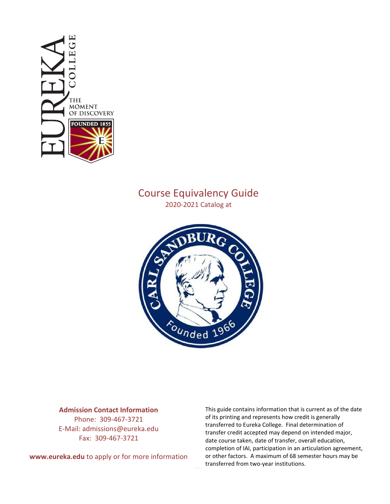

# Course Equivalency Guide

2020-2021 Catalog at



#### **Admission Contact Information**

Phone: 309-467-3721 E-Mail: admissions@eureka.edu Fax: 309-467-3721

**www.eureka.edu** to apply or for more information

This guide contains information that is current as of the date of its printing and represents how credit is generally transferred to Eureka College. Final determination of transfer credit accepted may depend on intended major, date course taken, date of transfer, overall education, completion of IAI, participation in an articulation agreement, or other factors. A maximum of 68 semester hours may be transferred from two-year institutions.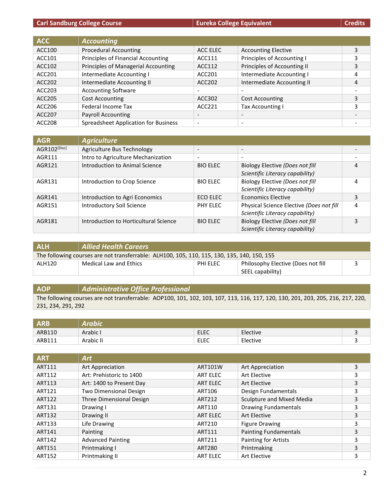#### **Carl Sandburg College Course Eureka College Equivalent Eureka College Equivalent Credits**

| <b>ACC</b>    | <b>Accounting</b>                           |                          |                             |   |
|---------------|---------------------------------------------|--------------------------|-----------------------------|---|
| ACC100        | <b>Procedural Accounting</b>                | ACC ELEC                 | <b>Accounting Elective</b>  | 3 |
| ACC101        | Principles of Financial Accounting          | ACC111                   | Principles of Accounting I  | 3 |
| ACC102        | Principles of Managerial Accounting         | ACC112                   | Principles of Accounting II | 3 |
| ACC201        | Intermediate Accounting I                   | ACC201                   | Intermediate Accounting I   | 4 |
| ACC202        | Intermediate Accounting II                  | ACC202                   | Intermediate Accounting II  | 4 |
| ACC203        | <b>Accounting Software</b>                  | $\overline{\phantom{0}}$ | $\overline{\phantom{a}}$    |   |
| ACC205        | <b>Cost Accounting</b>                      | ACC302                   | Cost Accounting             | 3 |
| ACC206        | <b>Federal Income Tax</b>                   | ACC221                   | <b>Tax Accounting I</b>     | 3 |
| ACC207        | <b>Payroll Accounting</b>                   | $\overline{\phantom{a}}$ | $\overline{\phantom{a}}$    |   |
| <b>ACC208</b> | <b>Spreadsheet Application for Business</b> | $\overline{\phantom{a}}$ | $\overline{\phantom{a}}$    |   |

| <b>AGR</b>               | <b>Agriculture</b>                    |                              |                                                                             |   |
|--------------------------|---------------------------------------|------------------------------|-----------------------------------------------------------------------------|---|
| AGR102 <sup>[Disc]</sup> | Agriculture Bus Technology            | $\qquad \qquad \blacksquare$ | $\overline{\phantom{a}}$                                                    |   |
| AGR111                   | Intro to Agriculture Mechanization    | $\overline{\phantom{a}}$     | $\overline{\phantom{0}}$                                                    |   |
| AGR121                   | Introduction to Animal Science        | <b>BIO ELEC</b>              | Biology Elective (Does not fill<br>Scientific Literacy capability)          | 4 |
| AGR131                   | Introduction to Crop Science          | <b>BIO ELEC</b>              | Biology Elective (Does not fill<br>Scientific Literacy capability)          | 4 |
| AGR141                   | Introduction to Agri Economics        | ECO ELEC                     | Economics Elective                                                          | 3 |
| AGR151                   | <b>Introductory Soil Science</b>      | PHY ELEC                     | Physical Science Elective (Does not fill<br>Scientific Literacy capability) | 4 |
| AGR181                   | Introduction to Horticultural Science | <b>BIO ELEC</b>              | Biology Elective (Does not fill<br>Scientific Literacy capability)          | 3 |

| <b>ALH</b>                                                                                  | <b>Allied Health Careers</b> |          |                                    |  |
|---------------------------------------------------------------------------------------------|------------------------------|----------|------------------------------------|--|
| The following courses are not transferrable: ALH100, 105, 110, 115, 130, 135, 140, 150, 155 |                              |          |                                    |  |
| ALH120                                                                                      | Medical Law and Ethics       | PHI ELEC | Philosophy Elective (Does not fill |  |
|                                                                                             |                              |          | SEEL capability)                   |  |

#### **AOP** *Administrative Office Professional* The following courses are not transferrable: AOP100, 101, 102, 103, 107, 113, 116, 117, 120, 130, 201, 203, 205, 216, 217, 220, 231, 234, 291, 292

| <b>ARB</b> | labio     |             |          |  |
|------------|-----------|-------------|----------|--|
| ARB110     | Arabic I  | <b>ELEC</b> | Elective |  |
| ARB111     | Arabic II | <b>ELEC</b> | Elective |  |

| <b>ART</b>    | <b>Art</b>                    |               |                              |   |
|---------------|-------------------------------|---------------|------------------------------|---|
| ART111        | Art Appreciation              | ART101W       | Art Appreciation             | 3 |
| ART112        | Art: Prehistoric to 1400      | ART ELEC      | Art Elective                 | 3 |
| ART113        | Art: 1400 to Present Day      | ART ELEC      | Art Elective                 | 3 |
| ART121        | <b>Two Dimensional Design</b> | ART106        | Design Fundamentals          | 3 |
| ART122        | Three Dimensional Design      | ART212        | Sculpture and Mixed Media    | 3 |
| ART131        | Drawing I                     | ART110        | <b>Drawing Fundamentals</b>  | 3 |
| ART132        | Drawing II                    | ART ELEC      | Art Elective                 | 3 |
| ART133        | Life Drawing                  | ART210        | <b>Figure Drawing</b>        | 3 |
| ART141        | Painting                      | ART111        | <b>Painting Fundamentals</b> | 3 |
| ART142        | <b>Advanced Painting</b>      | ART211        | Painting for Artists         | 3 |
| ART151        | Printmaking I                 | <b>ART280</b> | Printmaking                  | 3 |
| <b>ART152</b> | Printmaking II                | ART ELEC      | Art Elective                 | 3 |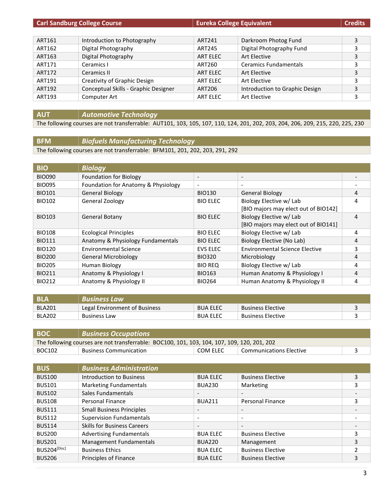| <b>Carl Sandburg College Course</b> |                                      | <b>Eureka College Equivalent</b> |                                | <b>Credits</b> |
|-------------------------------------|--------------------------------------|----------------------------------|--------------------------------|----------------|
|                                     |                                      |                                  |                                |                |
| ART161                              | Introduction to Photography          | ART241                           | Darkroom Photog Fund           | 3              |
| ART162                              | Digital Photography                  | ART245                           | Digital Photography Fund       | 3              |
| ART163                              | Digital Photography                  | ART ELEC                         | Art Elective                   | 3              |
| ART171                              | Ceramics I                           | ART260                           | <b>Ceramics Fundamentals</b>   | 3              |
| ART172                              | Ceramics II                          | ART ELEC                         | Art Elective                   | 3              |
| ART191                              | Creativity of Graphic Design         | ART ELEC                         | Art Elective                   | 3              |
| ART192                              | Conceptual Skills - Graphic Designer | ART206                           | Introduction to Graphic Design | 3              |
| ART193                              | Computer Art                         | ART ELEC                         | Art Elective                   | 3              |

#### **AUT** *Automotive Technology*

The following courses are not transferrable: AUT101, 103, 105, 107, 110, 124, 201, 202, 203, 204, 206, 209, 215, 220, 225, 230

#### **BFM** *Biofuels Manufacturing Technology*

The following courses are not transferrable: BFM101, 201, 202, 203, 291, 292

| <b>BIO</b>    | <b>Biology</b>                      |                          |                                       |   |
|---------------|-------------------------------------|--------------------------|---------------------------------------|---|
| <b>BIO090</b> | <b>Foundation for Biology</b>       | $\overline{\phantom{a}}$ | $\overline{\phantom{0}}$              |   |
| <b>BIO095</b> | Foundation for Anatomy & Physiology | $\overline{\phantom{a}}$ | $\overline{\phantom{a}}$              |   |
| <b>BIO101</b> | <b>General Biology</b>              | <b>BIO130</b>            | <b>General Biology</b>                | 4 |
| <b>BIO102</b> | <b>General Zoology</b>              | <b>BIO ELEC</b>          | Biology Elective w/ Lab               | 4 |
|               |                                     |                          | [BIO majors may elect out of BIO142]  |   |
| <b>BIO103</b> | General Botany                      | <b>BIO ELEC</b>          | Biology Elective w/ Lab               | 4 |
|               |                                     |                          | [BIO majors may elect out of BIO141]  |   |
| <b>BIO108</b> | <b>Ecological Principles</b>        | <b>BIO ELEC</b>          | Biology Elective w/ Lab               | 4 |
| <b>BIO111</b> | Anatomy & Physiology Fundamentals   | <b>BIO ELEC</b>          | Biology Elective (No Lab)             | 4 |
| <b>BIO120</b> | <b>Environmental Science</b>        | <b>EVS ELEC</b>          | <b>Environmental Science Elective</b> | 3 |
| <b>BIO200</b> | <b>General Microbiology</b>         | <b>BIO320</b>            | Microbiology                          | 4 |
| <b>BIO205</b> | Human Biology                       | <b>BIO REQ</b>           | Biology Elective w/ Lab               | 4 |
| <b>BIO211</b> | Anatomy & Physiology I              | <b>BIO163</b>            | Human Anatomy & Physiology I          | 4 |
| <b>BIO212</b> | Anatomy & Physiology II             | <b>BIO264</b>            | Human Anatomy & Physiology II         | 4 |

| <b>NBLA</b>   | r Business Law I              |                 |                          |  |
|---------------|-------------------------------|-----------------|--------------------------|--|
| BLA201        | Legal Environment of Business | <b>BUA ELEC</b> | <b>Business Elective</b> |  |
| <b>BLA202</b> | <b>Business Law</b>           | <b>BUA ELEC</b> | <b>Business Elective</b> |  |

| <b>BOC</b>                                                                                  | <b>Business Occupations</b>   |          |                         |  |
|---------------------------------------------------------------------------------------------|-------------------------------|----------|-------------------------|--|
| The following courses are not transferrable: BOC100, 101, 103, 104, 107, 109, 120, 201, 202 |                               |          |                         |  |
| BOC102                                                                                      | <b>Business Communication</b> | COM ELEC | Communications Elective |  |

| <b>BUS</b>               | <b>Business Administration</b>     |                          |                          |   |
|--------------------------|------------------------------------|--------------------------|--------------------------|---|
| <b>BUS100</b>            | Introduction to Business           | <b>BUA ELEC</b>          | <b>Business Elective</b> | 3 |
| <b>BUS101</b>            | <b>Marketing Fundamentals</b>      | <b>BUA230</b>            | Marketing                | 3 |
| <b>BUS102</b>            | Sales Fundamentals                 | $\overline{\phantom{a}}$ | $\overline{\phantom{0}}$ |   |
| <b>BUS108</b>            | Personal Finance                   | <b>BUA211</b>            | <b>Personal Finance</b>  | 3 |
| <b>BUS111</b>            | <b>Small Business Principles</b>   | $\overline{\phantom{a}}$ | $\overline{\phantom{a}}$ |   |
| <b>BUS112</b>            | <b>Supervision Fundamentals</b>    | $\overline{\phantom{a}}$ | $\overline{\phantom{a}}$ |   |
| <b>BUS114</b>            | <b>Skills for Business Careers</b> | $\overline{\phantom{a}}$ | $\overline{\phantom{0}}$ |   |
| <b>BUS200</b>            | <b>Advertising Fundamentals</b>    | <b>BUA ELEC</b>          | <b>Business Elective</b> | 3 |
| <b>BUS201</b>            | Management Fundamentals            | <b>BUA220</b>            | Management               | 3 |
| BUS204 <sup>[Disc]</sup> | <b>Business Ethics</b>             | <b>BUA ELEC</b>          | <b>Business Elective</b> | 2 |
| <b>BUS206</b>            | Principles of Finance              | <b>BUA ELEC</b>          | <b>Business Elective</b> | 3 |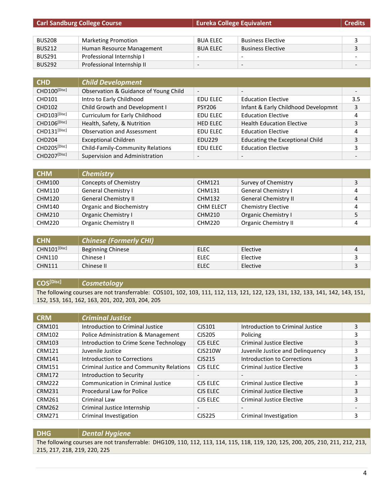| <b>Carl Sandburg College Course</b> |                            | <b>Eureka College Equivalent</b> |                          | <b>Credits</b> |
|-------------------------------------|----------------------------|----------------------------------|--------------------------|----------------|
|                                     |                            |                                  |                          |                |
| <b>BUS208</b>                       | <b>Marketing Promotion</b> | <b>BUA ELEC</b>                  | <b>Business Elective</b> |                |
| <b>BUS212</b>                       | Human Resource Management  | <b>BUA ELEC</b>                  | <b>Business Elective</b> | 3              |
| <b>BUS291</b>                       | Professional Internship I  | -                                | $\overline{\phantom{a}}$ |                |
| <b>BUS292</b>                       | Professional Internship II | -                                | $\overline{\phantom{a}}$ |                |

| <b>CHD</b>               | <b>Child Development</b>                |                          |                                        |     |
|--------------------------|-----------------------------------------|--------------------------|----------------------------------------|-----|
| CHD100[Disc]             | Observation & Guidance of Young Child   | $\overline{\phantom{a}}$ | $\overline{\phantom{0}}$               |     |
| <b>CHD101</b>            | Intro to Early Childhood                | <b>EDU ELEC</b>          | <b>Education Elective</b>              | 3.5 |
| <b>CHD102</b>            | Child Growth and Development I          | <b>PSY206</b>            | Infant & Early Childhood Developmnt    | 3   |
| CHD103[Disc]             | Curriculum for Early Childhood          | EDU ELEC                 | <b>Education Elective</b>              | 4   |
| CHD106 <sup>[Disc]</sup> | Health, Safety, & Nutrition             | <b>HED ELEC</b>          | <b>Health Education Elective</b>       | 3   |
| CHD131[Disc]             | <b>Observation and Assessment</b>       | <b>EDU ELEC</b>          | <b>Education Elective</b>              | 4   |
| CHD204                   | <b>Exceptional Children</b>             | <b>EDU229</b>            | <b>Educating the Exceptional Child</b> | 3   |
| CHD205[Disc]             | <b>Child-Family-Community Relations</b> | EDU ELEC                 | <b>Education Elective</b>              | 3   |
| CHD207[Disc]             | Supervision and Administration          | $\overline{\phantom{a}}$ |                                        |     |

| <b>CHM</b>    | <b>Chemistry</b>            |                  |                             |   |
|---------------|-----------------------------|------------------|-----------------------------|---|
| CHM100        | Concepts of Chemistry       | CHM121           | Survey of Chemistry         | 3 |
| CHM110        | <b>General Chemistry I</b>  | CHM131           | <b>General Chemistry I</b>  | 4 |
| <b>CHM120</b> | <b>General Chemistry II</b> | CHM132           | <b>General Chemistry II</b> | 4 |
| CHM140        | Organic and Biochemistry    | <b>CHM ELECT</b> | Chemistry Elective          | 4 |
| <b>CHM210</b> | Organic Chemistry I         | CHM210           | Organic Chemistry I         |   |
| <b>CHM220</b> | <b>Organic Chemistry II</b> | <b>CHM220</b>    | <b>Organic Chemistry II</b> |   |

| <b>CHN</b>        | Chinese (Formerly CHI)   |      |          |  |
|-------------------|--------------------------|------|----------|--|
| $CHN101^{[Disc]}$ | <b>Beginning Chinese</b> | ELEC | Elective |  |
| <b>CHN110</b>     | Chinesel                 | ELEC | Elective |  |
| <b>CHN111</b>     | Chinese II               | ELEC | Elective |  |

**COS[Disc]** *Cosmetology*

The following courses are not transferrable: COS101, 102, 103, 111, 112, 113, 121, 122, 123, 131, 132, 133, 141, 142, 143, 151, 152, 153, 161, 162, 163, 201, 202, 203, 204, 205

| <b>CRM</b>    | <b>Criminal Justice</b>                  |                          |                                  |   |
|---------------|------------------------------------------|--------------------------|----------------------------------|---|
| <b>CRM101</b> | Introduction to Criminal Justice         | CJS101                   | Introduction to Criminal Justice | 3 |
| <b>CRM102</b> | Police Administration & Management       | CJS205                   | Policing                         |   |
| <b>CRM103</b> | Introduction to Crime Scene Technology   | CJS ELEC                 | <b>Criminal Justice Elective</b> | 3 |
| <b>CRM121</b> | Juvenile Justice                         | <b>CJS210W</b>           | Juvenile Justice and Delinquency | 3 |
| <b>CRM141</b> | Introduction to Corrections              | CJS215                   | Introduction to Corrections      | 3 |
| <b>CRM151</b> | Criminal Justice and Community Relations | CJS ELEC                 | <b>Criminal Justice Elective</b> | 3 |
| <b>CRM172</b> | Introduction to Security                 |                          |                                  |   |
| <b>CRM222</b> | <b>Communication in Criminal Justice</b> | CJS ELEC                 | <b>Criminal Justice Elective</b> | 3 |
| <b>CRM231</b> | Procedural Law for Police                | CJS ELEC                 | <b>Criminal Justice Elective</b> | 3 |
| <b>CRM261</b> | Criminal Law                             | CJS ELEC                 | <b>Criminal Justice Elective</b> | 3 |
| <b>CRM262</b> | Criminal Justice Internship              | $\overline{\phantom{a}}$ | $\overline{\phantom{a}}$         |   |
| CRM271        | Criminal Investigation                   | CJS225                   | Criminal Investigation           | 3 |

**DHG** *Dental Hygiene* The following courses are not transferrable: DHG109, 110, 112, 113, 114, 115, 118, 119, 120, 125, 200, 205, 210, 211, 212, 213, 215, 217, 218, 219, 220, 225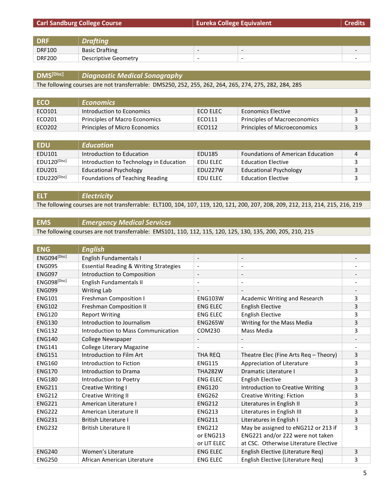|               | <b>Carl Sandburg College Course</b> | <b>Eureka College Equivalent</b> |                          | <b>Credits</b> |
|---------------|-------------------------------------|----------------------------------|--------------------------|----------------|
|               |                                     |                                  |                          |                |
| <b>DRF</b>    | <b>Drafting</b>                     |                                  |                          |                |
| <b>DRF100</b> | <b>Basic Drafting</b>               | $\overline{\phantom{0}}$         | $\overline{\phantom{0}}$ |                |
| <b>DRF200</b> | <b>Descriptive Geometry</b>         | $\overline{\phantom{0}}$         | -                        |                |

# **DMS[Disc]** *Diagnostic Medical Sonography*

The following courses are not transferrable: DMS250, 252, 255, 262, 264, 265, 274, 275, 282, 284, 285

| <b>ECO</b> | <b>Economics</b>              |          |                              |  |
|------------|-------------------------------|----------|------------------------------|--|
| ECO101     | Introduction to Economics     | ECO ELEC | Economics Elective           |  |
| ECO201     | Principles of Macro Economics | ECO111   | Principles of Macroeconomics |  |
| ECO202     | Principles of Micro Economics | ECO112   | Principles of Microeconomics |  |

| <b>EDU</b>   | <b>Education</b>                        |          |                                          |   |
|--------------|-----------------------------------------|----------|------------------------------------------|---|
| EDU101       | Introduction to Education               | EDU185   | <b>Foundations of American Education</b> | 4 |
| EDU120[Disc] | Introduction to Technology in Education | EDU ELEC | <b>Education Elective</b>                |   |
| EDU201       | <b>Educational Psychology</b>           | EDU227W  | <b>Educational Psychology</b>            |   |
| EDU220[Disc] | Foundations of Teaching Reading         | EDU ELEC | <b>Education Elective</b>                |   |

**ELT** *Electricity* The following courses are not transferrable: ELT100, 104, 107, 119, 120, 121, 200, 207, 208, 209, 212, 213, 214, 215, 216, 219

#### **EMS** *Emergency Medical Services*

The following courses are not transferrable: EMS101, 110, 112, 115, 120, 125, 130, 135, 200, 205, 210, 215

| <b>ENG</b>    | <b>English</b>                                    |                          |                                       |                          |
|---------------|---------------------------------------------------|--------------------------|---------------------------------------|--------------------------|
| ENG094[Disc]  | English Fundamentals I                            | $\overline{\phantom{a}}$ | $\overline{\phantom{a}}$              | $\overline{\phantom{a}}$ |
| <b>ENG095</b> | <b>Essential Reading &amp; Writing Strategies</b> | $\overline{\phantom{a}}$ | $\overline{\phantom{a}}$              |                          |
| <b>ENG097</b> | Introduction to Composition                       | $\overline{\phantom{a}}$ | $\overline{\phantom{a}}$              |                          |
| ENG098[Disc]  | English Fundamentals II                           | $\overline{\phantom{a}}$ | $\overline{\phantom{a}}$              |                          |
| <b>ENG099</b> | <b>Writing Lab</b>                                |                          |                                       |                          |
| <b>ENG101</b> | <b>Freshman Composition I</b>                     | <b>ENG103W</b>           | Academic Writing and Research         | 3                        |
| <b>ENG102</b> | Freshman Composition II                           | <b>ENG ELEC</b>          | <b>English Elective</b>               | 3                        |
| <b>ENG120</b> | <b>Report Writing</b>                             | <b>ENG ELEC</b>          | <b>English Elective</b>               | 3                        |
| <b>ENG130</b> | Introduction to Journalism                        | <b>ENG265W</b>           | Writing for the Mass Media            | 3                        |
| <b>ENG132</b> | Introduction to Mass Communication                | COM230                   | Mass Media                            | 3                        |
| <b>ENG140</b> | College Newspaper                                 | $\overline{\phantom{a}}$ | $\overline{\phantom{a}}$              |                          |
| <b>ENG141</b> | <b>College Literary Magazine</b>                  |                          |                                       |                          |
| <b>ENG151</b> | Introduction to Film Art                          | THA REQ                  | Theatre Elec (Fine Arts Req - Theory) | 3                        |
| <b>ENG160</b> | Introduction to Fiction                           | <b>ENG115</b>            | Appreciation of Literature            | 3                        |
| <b>ENG170</b> | Introduction to Drama                             | <b>THA282W</b>           | Dramatic Literature I                 | 3                        |
| <b>ENG180</b> | Introduction to Poetry                            | <b>ENG ELEC</b>          | <b>English Elective</b>               | 3                        |
| <b>ENG211</b> | Creative Writing I                                | <b>ENG120</b>            | Introduction to Creative Writing      | 3                        |
| <b>ENG212</b> | <b>Creative Writing II</b>                        | <b>ENG262</b>            | <b>Creative Writing: Fiction</b>      | 3                        |
| <b>ENG221</b> | American Literature I                             | <b>ENG212</b>            | Literatures in English II             | 3                        |
| <b>ENG222</b> | American Literature II                            | <b>ENG213</b>            | Literatures in English III            | 3                        |
| <b>ENG231</b> | <b>British Literature I</b>                       | <b>ENG211</b>            | Literatures in English I              | 3                        |
| <b>ENG232</b> | <b>British Literature II</b>                      | <b>ENG212</b>            | May be assigned to eNG212 or 213 if   | 3                        |
|               |                                                   | or ENG213                | ENG221 and/or 222 were not taken      |                          |
|               |                                                   | or LIT ELEC              | at CSC. Otherwise Literature Elective |                          |
| <b>ENG240</b> | Women's Literature                                | <b>ENG ELEC</b>          | English Elective (Literature Req)     | 3                        |
| <b>ENG250</b> | African American Literature                       | <b>ENG ELEC</b>          | English Elective (Literature Req)     | 3                        |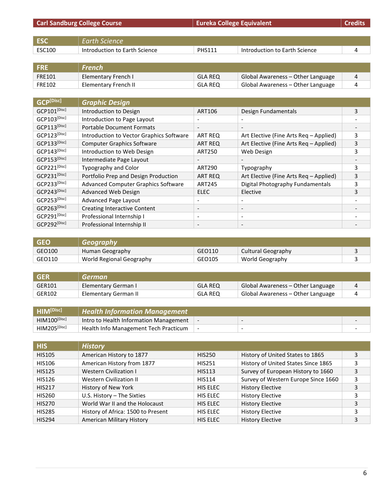|                       | <b>Carl Sandburg College Course</b>      | <b>Eureka College Equivalent</b> |                                        | <b>Credits</b>           |
|-----------------------|------------------------------------------|----------------------------------|----------------------------------------|--------------------------|
|                       |                                          |                                  |                                        |                          |
| <b>ESC</b>            | <b>Earth Science</b>                     |                                  |                                        |                          |
| ESC100                | Introduction to Earth Science            | <b>PHS111</b>                    | Introduction to Earth Science          | 4                        |
|                       |                                          |                                  |                                        |                          |
| <b>FRE</b>            | <b>French</b>                            |                                  |                                        |                          |
| <b>FRE101</b>         | <b>Elementary French I</b>               | <b>GLA REQ</b>                   | Global Awareness - Other Language      | 4                        |
| FRE102                | <b>Elementary French II</b>              | <b>GLA REQ</b>                   | Global Awareness - Other Language      | 4                        |
|                       |                                          |                                  |                                        |                          |
| GCP <sup>[Disc]</sup> | <b>Graphic Design</b>                    |                                  |                                        |                          |
| GCP101[Disc]          | Introduction to Design                   | <b>ART106</b>                    | Design Fundamentals                    | 3                        |
| GCP103[Disc]          | Introduction to Page Layout              | $\qquad \qquad -$                | $\overline{\phantom{0}}$               |                          |
| GCP113[Disc]          | <b>Portable Document Formats</b>         |                                  |                                        |                          |
| GCP123[Disc]          | Introduction to Vector Graphics Software | ART REQ                          | Art Elective (Fine Arts Req - Applied) | 3                        |
| GCP133[Disc]          | <b>Computer Graphics Software</b>        | <b>ART REQ</b>                   | Art Elective (Fine Arts Req - Applied) | 3                        |
| GCP143[Disc]          | Introduction to Web Design               | <b>ART250</b>                    | Web Design                             | 3                        |
| GCP153[Disc]          | Intermediate Page Layout                 | $\overline{\phantom{a}}$         |                                        | $\overline{\phantom{a}}$ |
| GCP221[Disc]          | Typography and Color                     | <b>ART290</b>                    | Typography                             | 3                        |
| GCP231[Disc]          | Portfolio Prep and Design Production     | <b>ART REQ</b>                   | Art Elective (Fine Arts Req - Applied) | 3                        |
| GCP233[Disc]          | Advanced Computer Graphics Software      | <b>ART245</b>                    | Digital Photography Fundamentals       | 3                        |
| GCP243[Disc]          | Advanced Web Design                      | <b>ELEC</b>                      | Elective                               | 3                        |
| GCP253[Disc]          | Advanced Page Layout                     | $\overline{\phantom{a}}$         | $\overline{\phantom{a}}$               |                          |
| GCP263[Disc]          | <b>Creating Interactive Content</b>      | $\overline{\phantom{a}}$         | $\overline{\phantom{a}}$               |                          |
| GCP291[Disc]          | Professional Internship I                | $\overline{\phantom{a}}$         | $\overline{\phantom{a}}$               |                          |
| GCP292[Disc]          | Professional Internship II               | $\overline{\phantom{a}}$         | $\qquad \qquad \blacksquare$           |                          |

| <b>GEO</b> | / Geography              |        |                    |  |
|------------|--------------------------|--------|--------------------|--|
| GEO100     | Human Geography          | GEO110 | Cultural Geography |  |
| GEO110     | World Regional Geography | GEO105 | World Geography    |  |

| GFR    | German               |                |                                   |  |
|--------|----------------------|----------------|-----------------------------------|--|
| GER101 | Elementary German I  | <b>GLA REQ</b> | Global Awareness – Other Language |  |
| GER102 | Elementary German II | <b>GLA REQ</b> | Global Awareness – Other Language |  |

| HIM[Disc]           | <b>Health Information Management</b>   |                          |                          |  |
|---------------------|----------------------------------------|--------------------------|--------------------------|--|
| $HIM100^{[Disc]}$   | Intro to Health Information Management | $\overline{\phantom{0}}$ | $\overline{\phantom{0}}$ |  |
| <b>HIM205[Disc]</b> | Health Info Management Tech Practicum  |                          | $\overline{\phantom{0}}$ |  |

| <b>HIS</b>    | <b>History</b>                     |               |                                     |   |
|---------------|------------------------------------|---------------|-------------------------------------|---|
| <b>HIS105</b> | American History to 1877           | <b>HIS250</b> | History of United States to 1865    | 3 |
| <b>HIS106</b> | American History from 1877         | <b>HIS251</b> | History of United States Since 1865 |   |
| <b>HIS125</b> | <b>Western Civilization I</b>      | <b>HIS113</b> | Survey of European History to 1660  | 3 |
| <b>HIS126</b> | Western Civilization II            | <b>HIS114</b> | Survey of Western Europe Since 1660 | 3 |
| <b>HIS217</b> | History of New York                | HIS ELEC      | <b>History Elective</b>             | 3 |
| <b>HIS260</b> | U.S. History - The Sixties         | HIS ELEC      | <b>History Elective</b>             |   |
| <b>HIS270</b> | World War II and the Holocaust     | HIS ELEC      | <b>History Elective</b>             | 3 |
| <b>HIS285</b> | History of Africa: 1500 to Present | HIS ELEC      | <b>History Elective</b>             | 3 |
| <b>HIS294</b> | American Military History          | HIS ELEC      | <b>History Elective</b>             | 3 |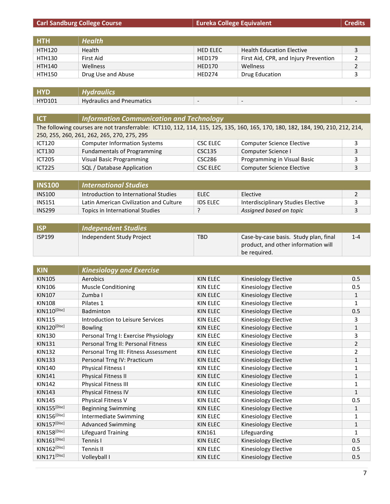|               | <b>Carl Sandburg College Course</b><br><b>Eureka College Equivalent</b> |                 |                                       | <b>Credits</b> |
|---------------|-------------------------------------------------------------------------|-----------------|---------------------------------------|----------------|
|               |                                                                         |                 |                                       |                |
| <b>HTH</b>    | <b>Health</b>                                                           |                 |                                       |                |
| <b>HTH120</b> | Health                                                                  | <b>HED ELEC</b> | <b>Health Education Elective</b>      | 3              |
| <b>HTH130</b> | First Aid                                                               | <b>HED179</b>   | First Aid, CPR, and Injury Prevention |                |
| <b>HTH140</b> | <b>Wellness</b>                                                         | <b>HED170</b>   | <b>Wellness</b>                       | 2              |
| <b>HTH150</b> | Drug Use and Abuse                                                      | <b>HED274</b>   | Drug Education                        | 3              |
|               |                                                                         |                 |                                       |                |

| <b>LIVR</b>   | Hvdraulics                       |                          |  |
|---------------|----------------------------------|--------------------------|--|
| <b>HYD101</b> | <b>Hydraulics and Pneumatics</b> | $\overline{\phantom{a}}$ |  |

| <b>ICT</b>                                  | <b>Information Communication and Technology</b>                                                                                 |          |                                  |   |
|---------------------------------------------|---------------------------------------------------------------------------------------------------------------------------------|----------|----------------------------------|---|
|                                             | The following courses are not transferrable: ICT110, 112, 114, 115, 125, 135, 160, 165, 170, 180, 182, 184, 190, 210, 212, 214, |          |                                  |   |
| 250, 255, 260, 261, 262, 265, 270, 275, 295 |                                                                                                                                 |          |                                  |   |
| <b>ICT120</b>                               | <b>Computer Information Systems</b>                                                                                             | CSC ELEC | <b>Computer Science Elective</b> |   |
| <b>ICT130</b>                               | <b>Fundamentals of Programming</b>                                                                                              | CSC135   | Computer Science I               | 3 |
| <b>ICT205</b>                               | <b>Visual Basic Programming</b>                                                                                                 | CSC286   | Programming in Visual Basic      |   |
| <b>ICT225</b>                               | SQL / Database Application                                                                                                      | CSC ELEC | <b>Computer Science Elective</b> |   |

| <b>INS100</b> | <b>International Studies</b>            |                 |                                    |  |
|---------------|-----------------------------------------|-----------------|------------------------------------|--|
| <b>INS100</b> | Introduction to International Studies   | ELEC            | Elective                           |  |
| <b>INS151</b> | Latin American Civilization and Culture | <b>IDS ELEC</b> | Interdisciplinary Studies Elective |  |
| <b>INS299</b> | Topics in International Studies         |                 | Assigned based on topic            |  |

| <b>ISP</b>    | Independent Studies       |            |                                                                                              |         |
|---------------|---------------------------|------------|----------------------------------------------------------------------------------------------|---------|
| <b>ISP199</b> | Independent Study Project | <b>TBD</b> | Case-by-case basis. Study plan, final<br>product, and other information will<br>be required. | $1 - 4$ |

| <b>KIN</b>               | <b>Kinesiology and Exercise</b>       |                 |                      |                |
|--------------------------|---------------------------------------|-----------------|----------------------|----------------|
| <b>KIN105</b>            | Aerobics                              | <b>KIN ELEC</b> | Kinesiology Elective | 0.5            |
| <b>KIN106</b>            | <b>Muscle Conditioning</b>            | <b>KIN ELEC</b> | Kinesiology Elective | 0.5            |
| <b>KIN107</b>            | Zumba I                               | <b>KIN ELEC</b> | Kinesiology Elective | 1              |
| <b>KIN108</b>            | Pilates 1                             | <b>KIN ELEC</b> | Kinesiology Elective | 1              |
| KIN110[Disc]             | Badminton                             | <b>KIN ELEC</b> | Kinesiology Elective | 0.5            |
| <b>KIN115</b>            | Introduction to Leisure Services      | <b>KIN ELEC</b> | Kinesiology Elective | 3              |
| KIN120[Disc]             | <b>Bowling</b>                        | <b>KIN ELEC</b> | Kinesiology Elective | 1              |
| <b>KIN130</b>            | Personal Trng I: Exercise Physiology  | <b>KIN ELEC</b> | Kinesiology Elective | 3              |
| <b>KIN131</b>            | Personal Trng II: Personal Fitness    | <b>KIN ELEC</b> | Kinesiology Elective | $\overline{2}$ |
| <b>KIN132</b>            | Personal Trng III: Fitness Assessment | <b>KIN ELEC</b> | Kinesiology Elective | 2              |
| <b>KIN133</b>            | Personal Trng IV: Practicum           | <b>KIN ELEC</b> | Kinesiology Elective | 1              |
| KIN140                   | Physical Fitness I                    | <b>KIN ELEC</b> | Kinesiology Elective | 1              |
| <b>KIN141</b>            | Physical Fitness II                   | <b>KIN ELEC</b> | Kinesiology Elective | $\mathbf{1}$   |
| <b>KIN142</b>            | Physical Fitness III                  | <b>KIN ELEC</b> | Kinesiology Elective | 1              |
| <b>KIN143</b>            | Physical Fitness IV                   | <b>KIN ELEC</b> | Kinesiology Elective | $\mathbf{1}$   |
| <b>KIN145</b>            | Physical Fitness V                    | <b>KIN ELEC</b> | Kinesiology Elective | 0.5            |
| <b>KIN155</b> [Disc]     | <b>Beginning Swimming</b>             | <b>KIN ELEC</b> | Kinesiology Elective | 1              |
| KIN156 <sup>[Disc]</sup> | Intermediate Swimming                 | <b>KIN ELEC</b> | Kinesiology Elective | 1              |
| KIN157[Disc]             | <b>Advanced Swimming</b>              | <b>KIN ELEC</b> | Kinesiology Elective | $\mathbf{1}$   |
| KIN158[Disc]             | Lifeguard Training                    | <b>KIN161</b>   | Lifeguarding         | 1              |
| $KIN161^{[Disc]}$        | Tennis I                              | <b>KIN ELEC</b> | Kinesiology Elective | 0.5            |
| KIN162[Disc]             | Tennis II                             | KIN ELEC        | Kinesiology Elective | 0.5            |
| KIN171[Disc]             | Volleyball I                          | KIN ELEC        | Kinesiology Elective | 0.5            |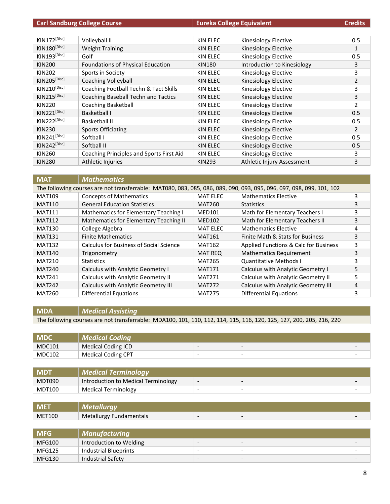|                          | <b>Carl Sandburg College Course</b><br><b>Eureka College Equivalent</b> |               | <b>Credits</b>              |                |
|--------------------------|-------------------------------------------------------------------------|---------------|-----------------------------|----------------|
|                          |                                                                         |               |                             |                |
| KIN172[Disc]             | Volleyball II                                                           | KIN ELEC      | Kinesiology Elective        | 0.5            |
| KIN180[Disc]             | <b>Weight Training</b>                                                  | KIN ELEC      | Kinesiology Elective        | $\mathbf{1}$   |
| $KIN193^{[Disc]}$        | Golf                                                                    | KIN ELEC      | Kinesiology Elective        | 0.5            |
| <b>KIN200</b>            | Foundations of Physical Education                                       | KIN180        | Introduction to Kinesiology | 3              |
| <b>KIN202</b>            | Sports in Society                                                       | KIN ELEC      | Kinesiology Elective        | 3              |
| KIN205[Disc]             | Coaching Volleyball                                                     | KIN ELEC      | Kinesiology Elective        | $\overline{2}$ |
| KIN210[Disc]             | Coaching Football Techn & Tact Skills                                   | KIN ELEC      | Kinesiology Elective        | 3              |
| KIN215[Disc]             | Coaching Baseball Techn and Tactics                                     | KIN ELEC      | Kinesiology Elective        | 3              |
| <b>KIN220</b>            | Coaching Basketball                                                     | KIN ELEC      | Kinesiology Elective        | $\overline{2}$ |
| KIN221[Disc]             | Basketball I                                                            | KIN ELEC      | Kinesiology Elective        | 0.5            |
| KIN222 <sup>[Disc]</sup> | Basketball II                                                           | KIN ELEC      | Kinesiology Elective        | 0.5            |
| <b>KIN230</b>            | <b>Sports Officiating</b>                                               | KIN ELEC      | Kinesiology Elective        | $\overline{2}$ |
| KIN241 <sup>[Disc]</sup> | Softball I                                                              | KIN ELEC      | Kinesiology Elective        | 0.5            |
| KIN242 <sup>[Disc]</sup> | Softball II                                                             | KIN ELEC      | Kinesiology Elective        | 0.5            |
| KIN260                   | Coaching Principles and Sports First Aid                                | KIN ELEC      | Kinesiology Elective        | 3              |
| <b>KIN280</b>            | Athletic Injuries                                                       | <b>KIN293</b> | Athletic Injury Assessment  | 3              |

| <b>MAT</b>                                                                                                           | <b>Mathematics</b>                             |                 |                                            |   |
|----------------------------------------------------------------------------------------------------------------------|------------------------------------------------|-----------------|--------------------------------------------|---|
| The following courses are not transferrable: MAT080, 083, 085, 086, 089, 090, 093, 095, 096, 097, 098, 099, 101, 102 |                                                |                 |                                            |   |
| <b>MAT109</b>                                                                                                        | <b>Concepts of Mathematics</b>                 | <b>MAT ELEC</b> | <b>Mathematics Elective</b>                | 3 |
| <b>MAT110</b>                                                                                                        | <b>General Education Statistics</b>            | MAT260          | <b>Statistics</b>                          | 3 |
| <b>MAT111</b>                                                                                                        | Mathematics for Elementary Teaching I          | <b>MED101</b>   | Math for Elementary Teachers I             | 3 |
| <b>MAT112</b>                                                                                                        | Mathematics for Elementary Teaching II         | <b>MED102</b>   | Math for Elementary Teachers II            | 3 |
| <b>MAT130</b>                                                                                                        | College Algebra                                | <b>MAT ELEC</b> | <b>Mathematics Elective</b>                | 4 |
| <b>MAT131</b>                                                                                                        | <b>Finite Mathematics</b>                      | <b>MAT161</b>   | Finite Math & Stats for Business           | 3 |
| <b>MAT132</b>                                                                                                        | <b>Calculus for Business of Social Science</b> | <b>MAT162</b>   | Applied Functions & Calc for Business      | 3 |
| <b>MAT140</b>                                                                                                        | Trigonometry                                   | <b>MAT REQ</b>  | <b>Mathematics Requirement</b>             | 3 |
| <b>MAT210</b>                                                                                                        | <b>Statistics</b>                              | <b>MAT265</b>   | <b>Quantitative Methods I</b>              | 3 |
| <b>MAT240</b>                                                                                                        | Calculus with Analytic Geometry I              | <b>MAT171</b>   | Calculus with Analytic Geometry I          | 5 |
| <b>MAT241</b>                                                                                                        | <b>Calculus with Analytic Geometry II</b>      | <b>MAT271</b>   | Calculus with Analytic Geometry II         | 5 |
| <b>MAT242</b>                                                                                                        | <b>Calculus with Analytic Geometry III</b>     | <b>MAT272</b>   | <b>Calculus with Analytic Geometry III</b> | 4 |
| <b>MAT260</b>                                                                                                        | <b>Differential Equations</b>                  | <b>MAT275</b>   | <b>Differential Equations</b>              | 3 |

### **MDA** *Medical Assisting*

The following courses are not transferrable: MDA100, 101, 110, 112, 114, 115, 116, 120, 125, 127, 200, 205, 216, 220

| <b>MDC</b>    | <b>Medical Coding</b>     |                          |                                 |  |
|---------------|---------------------------|--------------------------|---------------------------------|--|
| <b>MDC101</b> | Medical Coding ICD        | $\overline{\phantom{0}}$ | $\overline{\phantom{0}}$        |  |
| <b>MDC102</b> | <b>Medical Coding CPT</b> | $\overline{\phantom{0}}$ | $\overline{\phantom{0}}$<br>$-$ |  |

| <b>MDT</b>    | <b>Medical Terminology</b>          |                 |   |   |
|---------------|-------------------------------------|-----------------|---|---|
| MDT090        | Introduction to Medical Terminology | $\hskip1.6cm -$ | - | - |
| <b>MDT100</b> | Medical Terminology                 |                 |   | - |

| <b>ME</b>     |                         |                          |  |
|---------------|-------------------------|--------------------------|--|
| <b>MET100</b> | Metallurgy Fundamentals | $\overline{\phantom{a}}$ |  |

| <b>MFG</b>    | <b>Manufacturing</b>    |                          |                          |   |
|---------------|-------------------------|--------------------------|--------------------------|---|
| MFG100        | Introduction to Welding | $\overline{\phantom{0}}$ | $\overline{\phantom{0}}$ | - |
| <b>MFG125</b> | Industrial Blueprints   | $\overline{\phantom{0}}$ | $\overline{\phantom{0}}$ |   |
| <b>MFG130</b> | Industrial Safety       | $\overline{\phantom{0}}$ | $\overline{\phantom{0}}$ |   |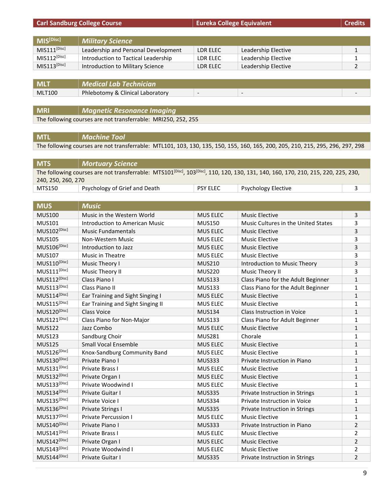| <b>Carl Sandburg College Course</b>     |                                                               |                          | <b>Eureka College Equivalent</b> |              |
|-----------------------------------------|---------------------------------------------------------------|--------------------------|----------------------------------|--------------|
|                                         |                                                               |                          |                                  |              |
| $\overline{\text{MIS}}^{\text{[Disc]}}$ | <b>Military Science</b>                                       |                          |                                  |              |
| $MIS111^{[Disc]}$                       | Leadership and Personal Development                           | LDR ELEC                 | Leadership Elective              | $\mathbf{1}$ |
| $MIS112^{[Disc]}$                       | Introduction to Tactical Leadership                           | LDR ELEC                 | Leadership Elective              | 1            |
| $MIS113^{[Disc]}$                       | Introduction to Military Science                              | LDR ELEC                 | Leadership Elective              | 2            |
|                                         |                                                               |                          |                                  |              |
| <b>MLT</b>                              | <b>Medical Lab Technician</b>                                 |                          |                                  |              |
| <b>MLT100</b>                           | Phlebotomy & Clinical Laboratory                              | $\overline{\phantom{a}}$ | $\overline{\phantom{a}}$         |              |
|                                         |                                                               |                          |                                  |              |
| <b>MRI</b>                              | <b>Magnetic Resonance Imaging</b>                             |                          |                                  |              |
|                                         | The following courses are not transferrable: MRI250, 252, 255 |                          |                                  |              |
|                                         |                                                               |                          |                                  |              |

**MTL** *Machine Tool* The following courses are not transferrable: MTL101, 103, 130, 135, 150, 155, 160, 165, 200, 205, 210, 215, 295, 296, 297, 298

| <b>MTS</b>                                                                                                                                                  | Mortuary Science              |                 |                            |  |
|-------------------------------------------------------------------------------------------------------------------------------------------------------------|-------------------------------|-----------------|----------------------------|--|
| The following courses are not transferrable: MTS101 <sup>[Disc]</sup> , 103 <sup>[Disc]</sup> , 110, 120, 130, 131, 140, 160, 170, 210, 215, 220, 225, 230, |                               |                 |                            |  |
| 240, 250, 260, 270                                                                                                                                          |                               |                 |                            |  |
| MTS150                                                                                                                                                      | Psychology of Grief and Death | <b>PSY ELEC</b> | <b>Psychology Elective</b> |  |

| <b>MUS</b>               | <b>Music</b>                          |                 |                                     |                |
|--------------------------|---------------------------------------|-----------------|-------------------------------------|----------------|
| <b>MUS100</b>            | Music in the Western World            | <b>MUS ELEC</b> | <b>Music Elective</b>               | 3              |
| <b>MUS101</b>            | <b>Introduction to American Music</b> | <b>MUS150</b>   | Music Cultures in the United States | 3              |
| MUS102 <sup>[Disc]</sup> | <b>Music Fundamentals</b>             | <b>MUS ELEC</b> | <b>Music Elective</b>               | 3              |
| <b>MUS105</b>            | Non-Western Music                     | <b>MUS ELEC</b> | <b>Music Elective</b>               | 3              |
| MUS106[Disc]             | Introduction to Jazz                  | <b>MUS ELEC</b> | <b>Music Elective</b>               | 3              |
| <b>MUS107</b>            | <b>Music in Theatre</b>               | <b>MUS ELEC</b> | <b>Music Elective</b>               | 3              |
| MUS110[Disc]             | Music Theory I                        | <b>MUS210</b>   | Introduction to Music Theory        | 3              |
| $MUS111^{[Disc]}$        | Music Theory II                       | <b>MUS220</b>   | Music Theory II                     | 3              |
| MUS112[Disc]             | Class Piano I                         | <b>MUS133</b>   | Class Piano for the Adult Beginner  | $\mathbf{1}$   |
| MUS113[Disc]             | Class Piano II                        | <b>MUS133</b>   | Class Piano for the Adult Beginner  | $\mathbf{1}$   |
| MUS114[Disc]             | Ear Training and Sight Singing I      | <b>MUS ELEC</b> | <b>Music Elective</b>               | $\mathbf{1}$   |
| MUS115[Disc]             | Ear Training and Sight Singing II     | <b>MUS ELEC</b> | <b>Music Elective</b>               | 1              |
| MUS120[Disc]             | <b>Class Voice</b>                    | <b>MUS134</b>   | Class Instruction in Voice          | $\mathbf{1}$   |
| MUS121[Disc]             | Class Piano for Non-Major             | <b>MUS133</b>   | Class Piano for Adult Beginner      | 1              |
| <b>MUS122</b>            | Jazz Combo                            | <b>MUS ELEC</b> | <b>Music Elective</b>               | $\mathbf{1}$   |
| <b>MUS123</b>            | Sandburg Choir                        | <b>MUS281</b>   | Chorale                             | 1              |
| <b>MUS125</b>            | <b>Small Vocal Ensemble</b>           | <b>MUS ELEC</b> | <b>Music Elective</b>               | $\mathbf{1}$   |
| MUS126[Disc]             | Knox-Sandburg Community Band          | <b>MUS ELEC</b> | <b>Music Elective</b>               | 1              |
| MUS130[Disc]             | Private Piano I                       | <b>MUS333</b>   | Private Instruction in Piano        | $\mathbf{1}$   |
| MUS131[Disc]             | Private Brass I                       | <b>MUS ELEC</b> | <b>Music Elective</b>               | 1              |
| MUS132[Disc]             | Private Organ I                       | <b>MUS ELEC</b> | <b>Music Elective</b>               | $\mathbf{1}$   |
| MUS133[Disc]             | Private Woodwind I                    | <b>MUS ELEC</b> | <b>Music Elective</b>               | 1              |
| MUS134[Disc]             | Private Guitar I                      | <b>MUS335</b>   | Private Instruction in Strings      | $\mathbf{1}$   |
| MUS135[Disc]             | Private Voice I                       | <b>MUS334</b>   | Private Instruction in Voice        | 1              |
| MUS136[Disc]             | Private Strings I                     | <b>MUS335</b>   | Private Instruction in Strings      | $\mathbf{1}$   |
| MUS137[Disc]             | <b>Private Percussion I</b>           | <b>MUS ELEC</b> | <b>Music Elective</b>               | $\mathbf{1}$   |
| MUS140[Disc]             | Private Piano I                       | <b>MUS333</b>   | Private Instruction in Piano        | $\overline{2}$ |
| MUS141[Disc]             | Private Brass I                       | MUS ELEC        | <b>Music Elective</b>               | $\overline{2}$ |
| MUS142 <sup>[Disc]</sup> | Private Organ I                       | <b>MUS ELEC</b> | <b>Music Elective</b>               | $\overline{2}$ |
| MUS143[Disc]             | Private Woodwind I                    | <b>MUS ELEC</b> | <b>Music Elective</b>               | 2              |
| MUS144[Disc]             | Private Guitar I                      | <b>MUS335</b>   | Private Instruction in Strings      | $\overline{2}$ |

ī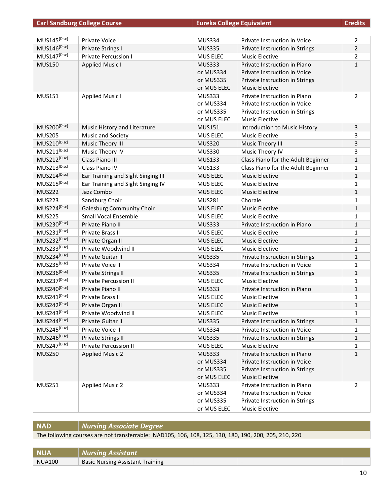|                          | <b>Carl Sandburg College Course</b> | <b>Eureka College Equivalent</b> |                                    | <b>Credits</b> |
|--------------------------|-------------------------------------|----------------------------------|------------------------------------|----------------|
|                          |                                     |                                  |                                    |                |
| MUS145[Disc]             | Private Voice I                     | <b>MUS334</b>                    | Private Instruction in Voice       | 2              |
| MUS146[Disc]             | <b>Private Strings I</b>            | <b>MUS335</b>                    | Private Instruction in Strings     | $\overline{2}$ |
| MUS147 <sup>[Disc]</sup> | <b>Private Percussion I</b>         | MUS ELEC                         | <b>Music Elective</b>              | 2              |
| <b>MUS150</b>            | <b>Applied Music I</b>              | <b>MUS333</b>                    | Private Instruction in Piano       | $\mathbf{1}$   |
|                          |                                     | or MUS334                        | Private Instruction in Voice       |                |
|                          |                                     | or MUS335                        | Private Instruction in Strings     |                |
|                          |                                     | or MUS ELEC                      | <b>Music Elective</b>              |                |
| <b>MUS151</b>            | <b>Applied Music I</b>              | <b>MUS333</b>                    | Private Instruction in Piano       | $\overline{2}$ |
|                          |                                     | or MUS334                        | Private Instruction in Voice       |                |
|                          |                                     | or MUS335                        | Private Instruction in Strings     |                |
|                          |                                     | or MUS ELEC                      | <b>Music Elective</b>              |                |
| MUS200[Disc]             | Music History and Literature        | <b>MUS151</b>                    | Introduction to Music History      | 3              |
| <b>MUS205</b>            | Music and Society                   | MUS ELEC                         | <b>Music Elective</b>              | 3              |
| MUS210[Disc]             | Music Theory III                    | <b>MUS320</b>                    | Music Theory III                   | 3              |
| MUS211[Disc]             | Music Theory IV                     | <b>MUS330</b>                    | Music Theory IV                    | 3              |
| MUS212[Disc]             | Class Piano III                     | <b>MUS133</b>                    | Class Piano for the Adult Beginner | $\mathbf{1}$   |
| MUS213[Disc]             | Class Piano IV                      | <b>MUS133</b>                    | Class Piano for the Adult Beginner | 1              |
| MUS214[Disc]             | Ear Training and Sight Singing III  | <b>MUS ELEC</b>                  | <b>Music Elective</b>              | $\mathbf{1}$   |
| MUS215[Disc]             | Ear Training and Sight Singing IV   | MUS ELEC                         | <b>Music Elective</b>              | 1              |
| <b>MUS222</b>            | Jazz Combo                          | <b>MUS ELEC</b>                  | <b>Music Elective</b>              | $\mathbf{1}$   |
| <b>MUS223</b>            | Sandburg Choir                      | <b>MUS281</b>                    | Chorale                            | 1              |
| MUS224[Disc]             | <b>Galesburg Community Choir</b>    | <b>MUS ELEC</b>                  | <b>Music Elective</b>              | $\mathbf{1}$   |
| <b>MUS225</b>            | <b>Small Vocal Ensemble</b>         | MUS ELEC                         | <b>Music Elective</b>              | 1              |
| MUS230[Disc]             | Private Piano II                    | <b>MUS333</b>                    | Private Instruction in Piano       | $\mathbf{1}$   |
| MUS231[Disc]             | Private Brass II                    | MUS ELEC                         | <b>Music Elective</b>              | 1              |
| MUS232[Disc]             | Private Organ II                    | <b>MUS ELEC</b>                  | <b>Music Elective</b>              | $\mathbf{1}$   |
| MUS233[Disc]             | Private Woodwind II                 | MUS ELEC                         | <b>Music Elective</b>              | 1              |
| MUS234[Disc]             | Private Guitar II                   | <b>MUS335</b>                    | Private Instruction in Strings     | $\mathbf{1}$   |
| MUS235[Disc]             | Private Voice II                    | <b>MUS334</b>                    | Private Instruction in Voice       | 1              |
| MUS236[Disc]             | <b>Private Strings II</b>           | <b>MUS335</b>                    | Private Instruction in Strings     | 1              |
| MUS237[Disc]             | <b>Private Percussion II</b>        | MUS ELEC                         | <b>Music Elective</b>              | 1              |
| MUS240[Disc]             | Private Piano II                    | <b>MUS333</b>                    | Private Instruction in Piano       | 1              |
| MUS241[Disc]             | Private Brass II                    | MUS ELEC                         | <b>Music Elective</b>              | 1              |
| MUS242 <sup>[Disc]</sup> | Private Organ II                    | MUS ELEC                         | <b>Music Elective</b>              | 1              |
| MUS243[Disc]             | Private Woodwind II                 | MUS ELEC                         | <b>Music Elective</b>              | 1              |
| MUS244[Disc]             | Private Guitar II                   | <b>MUS335</b>                    | Private Instruction in Strings     | 1              |
| MUS245[Disc]             | Private Voice II                    | <b>MUS334</b>                    | Private Instruction in Voice       | 1              |
| MUS246[Disc]             | <b>Private Strings II</b>           | <b>MUS335</b>                    | Private Instruction in Strings     | 1              |
| MUS247[Disc]             | <b>Private Percussion II</b>        | MUS ELEC                         | <b>Music Elective</b>              | 1              |
| <b>MUS250</b>            | <b>Applied Music 2</b>              | <b>MUS333</b>                    | Private Instruction in Piano       | $\mathbf{1}$   |
|                          |                                     | or MUS334                        | Private Instruction in Voice       |                |
|                          |                                     | or MUS335                        | Private Instruction in Strings     |                |
|                          |                                     | or MUS ELEC                      | <b>Music Elective</b>              |                |
| <b>MUS251</b>            | <b>Applied Music 2</b>              | <b>MUS333</b>                    | Private Instruction in Piano       | 2              |
|                          |                                     | or MUS334                        | Private Instruction in Voice       |                |
|                          |                                     | or MUS335                        | Private Instruction in Strings     |                |
|                          |                                     | or MUS ELEC                      | <b>Music Elective</b>              |                |

# **NAD** *Nursing Associate Degree*

The following courses are not transferrable: NAD105, 106, 108, 125, 130, 180, 190, 200, 205, 210, 220

| <b>NUA</b>    | <b>Nursing Assistant</b>                |  |  |
|---------------|-----------------------------------------|--|--|
| <b>NUA100</b> | <b>Basic Nursing Assistant Training</b> |  |  |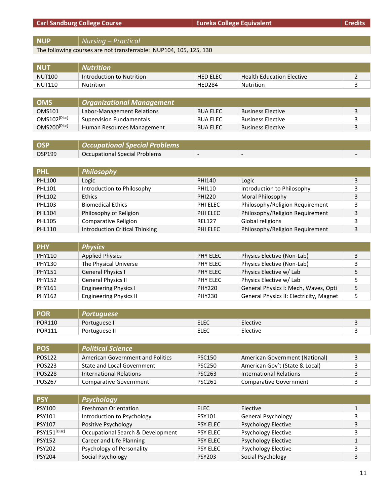**NUP** *Nursing – Practical*

The following courses are not transferrable: NUP104, 105, 125, 130

| <b>NU1</b>    | <b>Nutrition</b>          |                 |                                  |  |
|---------------|---------------------------|-----------------|----------------------------------|--|
| NUT100        | Introduction to Nutrition | <b>HED ELEC</b> | <b>Health Education Elective</b> |  |
| <b>NUT110</b> | <b>Nutrition</b>          | <b>HED284</b>   | Nutrition                        |  |

| <b>OMS</b>        | <b>Organizational Management</b> |                 |                          |  |
|-------------------|----------------------------------|-----------------|--------------------------|--|
| OMS101            | Labor-Management Relations       | <b>BUA ELEC</b> | <b>Business Elective</b> |  |
| $OMS102^{[Disc]}$ | <b>Supervision Fundamentals</b>  | <b>BUA ELEC</b> | <b>Business Elective</b> |  |
| OMS200[Disc]      | Human Resources Management       | <b>BUA ELEC</b> | <b>Business Elective</b> |  |

| <b>OSP</b> | Occupational Special Problems |   |  |
|------------|-------------------------------|---|--|
| OSP199     | Occupational Special Problems | - |  |

| <b>PHL</b>    | <b>Philosophy</b>                     |               |                                 |   |
|---------------|---------------------------------------|---------------|---------------------------------|---|
| <b>PHL100</b> | Logic                                 | PHI140        | Logic                           |   |
| <b>PHL101</b> | Introduction to Philosophy            | PHI110        | Introduction to Philosophy      |   |
| <b>PHL102</b> | <b>Ethics</b>                         | <b>PHI220</b> | Moral Philosophy                |   |
| <b>PHL103</b> | <b>Biomedical Ethics</b>              | PHI ELEC      | Philosophy/Religion Requirement |   |
| <b>PHL104</b> | Philosophy of Religion                | PHI ELEC      | Philosophy/Religion Requirement | 3 |
| <b>PHL105</b> | Comparative Religion                  | <b>REL127</b> | Global religions                |   |
| <b>PHL110</b> | <b>Introduction Critical Thinking</b> | PHI ELEC      | Philosophy/Religion Requirement | 3 |

| <b>PHY</b>    | <b>Physics</b>                |               |                                         |  |
|---------------|-------------------------------|---------------|-----------------------------------------|--|
| PHY110        | <b>Applied Physics</b>        | PHY ELEC      | Physics Elective (Non-Lab)              |  |
| PHY130        | The Physical Universe         | PHY ELEC      | Physics Elective (Non-Lab)              |  |
| <b>PHY151</b> | <b>General Physics I</b>      | PHY ELEC      | Physics Elective w/ Lab                 |  |
| <b>PHY152</b> | <b>General Physics II</b>     | PHY ELEC      | Physics Elective w/ Lab                 |  |
| <b>PHY161</b> | <b>Engineering Physics I</b>  | <b>PHY220</b> | General Physics I: Mech, Waves, Opti    |  |
| PHY162        | <b>Engineering Physics II</b> | <b>PHY230</b> | General Physics II: Electricity, Magnet |  |

| POR           | Portuguese <i>\</i> |             |          |  |
|---------------|---------------------|-------------|----------|--|
| <b>POR110</b> | Portuguese I        | <b>ELEC</b> | Elective |  |
| <b>POR111</b> | Portuguese II       | ELEC        | Elective |  |

| <b>POS</b> | <b>Political Science</b>                |               |                                |  |
|------------|-----------------------------------------|---------------|--------------------------------|--|
| POS122     | <b>American Government and Politics</b> | <b>PSC150</b> | American Government (National) |  |
| POS223     | <b>State and Local Government</b>       | <b>PSC250</b> | American Gov't (State & Local) |  |
| POS228     | International Relations                 | <b>PSC263</b> | International Relations        |  |
| POS267     | <b>Comparative Government</b>           | <b>PSC261</b> | Comparative Government         |  |

| <b>PSY</b>        | <b>Psychology</b>                 |                 |                            |   |
|-------------------|-----------------------------------|-----------------|----------------------------|---|
| <b>PSY100</b>     | Freshman Orientation              | ELEC            | Elective                   | ᅩ |
| <b>PSY101</b>     | Introduction to Psychology        | <b>PSY101</b>   | <b>General Psychology</b>  | 3 |
| <b>PSY107</b>     | Positive Psychology               | <b>PSY ELEC</b> | <b>Psychology Elective</b> | 3 |
| $PSY151^{[Disc]}$ | Occupational Search & Development | <b>PSY ELEC</b> | <b>Psychology Elective</b> | 3 |
| <b>PSY152</b>     | Career and Life Planning          | <b>PSY ELEC</b> | <b>Psychology Elective</b> | 1 |
| <b>PSY202</b>     | Psychology of Personality         | <b>PSY ELEC</b> | <b>Psychology Elective</b> | 3 |
| <b>PSY204</b>     | Social Psychology                 | <b>PSY203</b>   | Social Psychology          | 3 |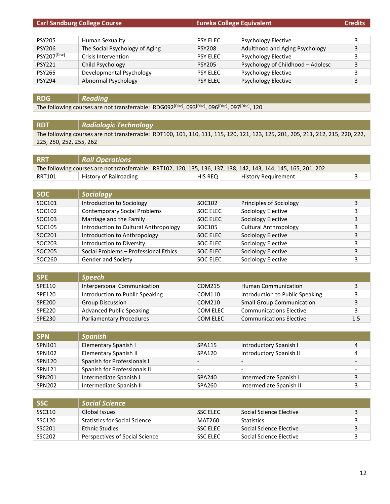| <b>Carl Sandburg College Course</b> |                                | <b>Eureka College Equivalent</b> |                                   | <b>Credits</b> |
|-------------------------------------|--------------------------------|----------------------------------|-----------------------------------|----------------|
|                                     |                                |                                  |                                   |                |
| <b>PSY205</b>                       | Human Sexuality                | <b>PSY ELEC</b>                  | <b>Psychology Elective</b>        | 3              |
| <b>PSY206</b>                       | The Social Psychology of Aging | <b>PSY208</b>                    | Adulthood and Aging Psychology    | 3              |
| PSY207[Disc]                        | Crisis Intervention            | <b>PSY ELEC</b>                  | <b>Psychology Elective</b>        | 3              |
| <b>PSY221</b>                       | Child Psychology               | <b>PSY205</b>                    | Psychology of Childhood - Adolesc | 3              |
| <b>PSY265</b>                       | Developmental Psychology       | <b>PSY ELEC</b>                  | <b>Psychology Elective</b>        | 3              |
| <b>PSY294</b>                       | Abnormal Psychology            | <b>PSY ELEC</b>                  | <b>Psychology Elective</b>        | 3              |

# **RDG** *Reading*

The following courses are not transferrable: RDG092<sup>[Disc]</sup>, 093<sup>[Disc]</sup>, 096<sup>[Disc]</sup>, 097<sup>[Disc]</sup>, 120

#### **RDT** *Radiologic Technology*

The following courses are not transferrable: RDT100, 101, 110, 111, 115, 120, 121, 123, 125, 201, 205, 211, 212, 215, 220, 222, 225, 250, 252, 255, 262

| <b>RRT</b> | <b>Rail Operations</b>                                                                                          |         |                            |  |
|------------|-----------------------------------------------------------------------------------------------------------------|---------|----------------------------|--|
|            | The following courses are not transferrable: RRT102, 120, 135, 136, 137, 138, 142, 143, 144, 145, 165, 201, 202 |         |                            |  |
| RRT101     | History of Railroading                                                                                          | HIS REQ | <b>History Requirement</b> |  |

| <b>SOC</b> | <b>Sociology</b>                      |                    |                              |   |
|------------|---------------------------------------|--------------------|------------------------------|---|
| SOC101     | Introduction to Sociology             | SOC <sub>102</sub> | Principles of Sociology      |   |
| SOC102     | <b>Contemporary Social Problems</b>   | SOC ELEC           | Sociology Elective           |   |
| SOC103     | Marriage and the Family               | SOC ELEC           | Sociology Elective           |   |
| SOC105     | Introduction to Cultural Anthropology | SOC105             | <b>Cultural Anthropology</b> |   |
| SOC201     | Introduction to Anthropology          | SOC ELEC           | Sociology Elective           | 3 |
| SOC203     | Introduction to Diversity             | SOC ELEC           | Sociology Elective           | 3 |
| SOC205     | Social Problems - Professional Ethics | SOC ELEC           | Sociology Elective           | 3 |
| SOC260     | <b>Gender and Society</b>             | SOC ELEC           | Sociology Elective           |   |

| <b>SPE</b>    | <b>Speech</b>                   |          |                                  |     |
|---------------|---------------------------------|----------|----------------------------------|-----|
| SPE110        | Interpersonal Communication     | COM215   | <b>Human Communication</b>       |     |
| SPE120        | Introduction to Public Speaking | COM110   | Introduction to Public Speaking  |     |
| <b>SPE200</b> | <b>Group Discussion</b>         | COM210   | <b>Small Group Communication</b> |     |
| <b>SPE220</b> | <b>Advanced Public Speaking</b> | COM ELEC | <b>Communications Elective</b>   |     |
| SPE230        | <b>Parliamentary Procedures</b> | COM ELEC | <b>Communications Elective</b>   | 1.5 |

| <b>SPN</b> | <b>Spanish</b>               |                          |                          |                          |
|------------|------------------------------|--------------------------|--------------------------|--------------------------|
| SPN101     | Elementary Spanish I         | SPA115                   | Introductory Spanish I   |                          |
| SPN102     | Elementary Spanish II        | SPA120                   | Introductory Spanish II  |                          |
| SPN120     | Spanish for Professionals I  | $\overline{\phantom{a}}$ |                          |                          |
| SPN121     | Spanish for Professionals II | $\overline{\phantom{0}}$ | $\overline{\phantom{0}}$ | $\overline{\phantom{0}}$ |
| SPN201     | Intermediate Spanish I       | SPA240                   | Intermediate Spanish I   |                          |
| SPN202     | Intermediate Spanish II      | SPA260                   | Intermediate Spanish II  |                          |

| l SSC              | <b>Social Science</b>          |                 |                         |  |
|--------------------|--------------------------------|-----------------|-------------------------|--|
| SSC110             | Global Issues                  | <b>SSC ELEC</b> | Social Science Elective |  |
| SSC120             | Statistics for Social Science  | MAT260          | <b>Statistics</b>       |  |
| SSC <sub>201</sub> | <b>Ethnic Studies</b>          | <b>SSC ELEC</b> | Social Science Elective |  |
| SSC <sub>202</sub> | Perspectives of Social Science | <b>SSC ELEC</b> | Social Science Elective |  |